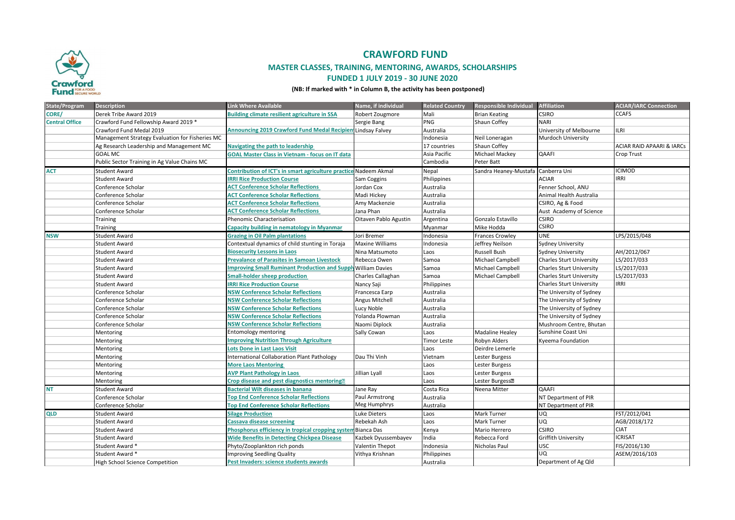

# **CRAWFORD FUND**

## **MASTER CLASSES, TRAINING, MENTORING, AWARDS, SCHOLARSHIPS**

#### **FUNDED 1 JULY 2019 - 30 JUNE 2020**

#### **(NB: If marked with \* in Column B, the activity has been postponed)**

| State/Program         | <b>Description</b>                              | <b>Link Where Available</b>                                          | Name, if individual    | <b>Related Country</b> | Responsible Individual      | <b>Affiliation</b>              | <b>ACIAR/IARC Connection</b>         |
|-----------------------|-------------------------------------------------|----------------------------------------------------------------------|------------------------|------------------------|-----------------------------|---------------------------------|--------------------------------------|
| CORE/                 | Derek Tribe Award 2019                          | <b>Building climate resilient agriculture in SSA</b>                 | Robert Zougmore        | Mali                   | <b>Brian Keating</b>        | <b>CSIRO</b>                    | <b>CCAFS</b>                         |
| <b>Central Office</b> | Crawford Fund Fellowship Award 2019 *           |                                                                      | Sergie Bang            | PNG                    | Shaun Coffey                | <b>NARI</b>                     |                                      |
|                       | Crawford Fund Medal 2019                        | <b>Announcing 2019 Crawford Fund Medal Recipien Lindsay Falvey</b>   |                        | Australia              |                             | University of Melbourne         | LRI                                  |
|                       | Management Strategy Evaluation for Fisheries MC |                                                                      |                        | Indonesia              | Neil Loneragan              | Murdoch University              |                                      |
|                       | Ag Research Leadership and Management MC        | Navigating the path to leadership                                    |                        | 17 countries           | Shaun Coffey                |                                 | <b>ACIAR RAID APAARI &amp; IARCs</b> |
|                       | <b>GOAL MC</b>                                  | <b>GOAL Master Class in Vietnam - focus on IT data</b>               |                        | Asia Pacific           | Michael Mackey              | QAAFI                           | Crop Trust                           |
|                       | Public Sector Training in Ag Value Chains MC    |                                                                      |                        | Cambodia               | Peter Batt                  |                                 |                                      |
| <b>ACT</b>            | <b>Student Award</b>                            | Contribution of ICT's in smart agriculture practice Nadeem Akmal     |                        | Nepal                  | Sandra Heaney-Mustafa       | Canberra Uni                    | <b>CIMOD</b>                         |
|                       | <b>Student Award</b>                            | <b>IRRI Rice Production Course</b>                                   | Sam Coggins            | Philippines            |                             | <b>ACIAR</b>                    | RRI                                  |
|                       | Conference Scholar                              | <b>ACT Conference Scholar Reflections</b>                            | Jordan Cox             | Australia              |                             | Fenner School, ANU              |                                      |
|                       | Conference Scholar                              | <b>ACT Conference Scholar Reflections</b>                            | Madi Hickey            | Australia              |                             | Animal Health Australia         |                                      |
|                       | Conference Scholar                              | <b>ACT Conference Scholar Reflections</b>                            | Amy Mackenzie          | Australia              |                             | CSIRO, Ag & Food                |                                      |
|                       | Conference Scholar                              | <b>ACT Conference Scholar Reflections</b>                            | Jana Phan              | Australia              |                             | Aust Academy of Science         |                                      |
|                       | Training                                        | <b>Phenomic Characterisation</b>                                     | Oitaven Pablo Agustin  | Argentina              | Gonzalo Estavillo           | CSIRO                           |                                      |
|                       | Training                                        | Capacity building in nematology in Myanmar                           |                        | Myanmar                | Mike Hodda                  | <b>CSIRO</b>                    |                                      |
| <b>NSW</b>            | <b>Student Award</b>                            | <b>Grazing in Oil Palm plantations</b>                               | Jori Bremer            | Indonesia              | <b>Frances Crowley</b>      | <b>UNE</b>                      | LPS/2015/048                         |
|                       | <b>Student Award</b>                            | Contextual dynamics of child stunting in Toraja                      | <b>Maxine Williams</b> | Indonesia              | Jeffrey Neilson             | <b>Sydney University</b>        |                                      |
|                       | <b>Student Award</b>                            | <b>Biosecurity Lessons in Laos</b>                                   | Nina Matsumoto         | Laos                   | <b>Russell Bush</b>         | Sydney University               | AH/2012/067                          |
|                       | <b>Student Award</b>                            | <b>Prevalance of Parasites in Samoan Livestock</b>                   | Rebecca Owen           | Samoa                  | Michael Campbell            | <b>Charles Sturt University</b> | LS/2017/033                          |
|                       | <b>Student Award</b>                            | <b>Improving Small Ruminant Production and Supply William Davies</b> |                        | Samoa                  | Michael Campbell            | <b>Charles Sturt University</b> | LS/2017/033                          |
|                       | <b>Student Award</b>                            | <b>Small-holder sheep production</b>                                 | Charles Callaghan      | Samoa                  | Michael Campbell            | <b>Charles Sturt University</b> | LS/2017/033                          |
|                       | <b>Student Award</b>                            | <b>IRRI Rice Production Course</b>                                   | Nancy Saji             | Philippines            |                             | <b>Charles Sturt University</b> | <b>IRRI</b>                          |
|                       | Conference Scholar                              | <b>NSW Conference Scholar Reflections</b>                            | Francesca Earp         | Australia              |                             | The University of Sydney        |                                      |
|                       | Conference Scholar                              | <b>NSW Conference Scholar Reflections</b>                            | Angus Mitchell         | Australia              |                             | The University of Sydney        |                                      |
|                       | Conference Scholar                              | <b>NSW Conference Scholar Reflections</b>                            | Lucy Noble             | Australia              |                             | The University of Sydney        |                                      |
|                       | Conference Scholar                              | <b>NSW Conference Scholar Reflections</b>                            | Yolanda Plowman        | Australia              |                             | The University of Sydney        |                                      |
|                       | Conference Scholar                              | <b>NSW Conference Scholar Reflections</b>                            | Naomi Diplock          | Australia              |                             | Mushroom Centre, Bhutan         |                                      |
|                       | Mentoring                                       | <b>Entomology mentoring</b>                                          | Sally Cowan            | Laos                   | Madaline Healey             | Sunshine Coast Uni              |                                      |
|                       | Mentoring                                       | <b>Improving Nutrition Through Agriculture</b>                       |                        | <b>Timor Leste</b>     | Robyn Alders                | <b>Kyeema Foundation</b>        |                                      |
|                       | Mentoring                                       | <b>Lots Done in Last Laos Visit</b>                                  |                        | Laos                   | Deirdre Lemerle             |                                 |                                      |
|                       | Mentoring                                       | <b>International Collaboration Plant Pathology</b>                   | Dau Thi Vinh           | Vietnam                | Lester Burgess              |                                 |                                      |
|                       | Mentoring                                       | <b>More Laos Mentoring</b>                                           |                        | Laos                   | Lester Burgess              |                                 |                                      |
|                       | Mentoring                                       | <b>AVP Plant Pathology in Laos</b>                                   | Jillian Lyall          | Laos                   | Lester Burgess              |                                 |                                      |
|                       | Mentoring                                       | Crop disease and pest diagnostics mentoring?                         |                        | Laos                   | Lester Burgess <sup>®</sup> |                                 |                                      |
| <b>NT</b>             | <b>Student Award</b>                            | <b>Bacterial Wilt diseases in banana</b>                             | Jane Ray               | Costa Rica             | Neena Mitter                | <b>QAAFI</b>                    |                                      |
|                       | Conference Scholar                              | <b>Top End Conference Scholar Reflections</b>                        | Paul Armstrong         | Australia              |                             | NT Department of PIR            |                                      |
|                       | Conference Scholar                              | <b>Top End Conference Scholar Reflections</b>                        | Meg Humphrys           | Australia              |                             | NT Department of PIR            |                                      |
| <b>QLD</b>            | <b>Student Award</b>                            | <b>Silage Production</b>                                             | Luke Dieters           | Laos                   | Mark Turner                 | <b>UQ</b>                       | FST/2012/041                         |
|                       | <b>Student Award</b>                            | <b>Cassava disease screening</b>                                     | Rebekah Ash            | Laos                   | Mark Turner                 | <b>UQ</b>                       | AGB/2018/172                         |
|                       | <b>Student Award</b>                            | Phosphorus efficiency in tropical cropping system Bianca Das         |                        | Kenya                  | Mario Herrero               | <b>CSIRO</b>                    | <b>CIAT</b>                          |
|                       | <b>Student Award</b>                            | <b>Wide Benefits in Detecting Chickpea Disease</b>                   | Kazbek Dyussembayev    | India                  | Rebecca Ford                | Griffith University             | CRISAT                               |
|                       | Student Award *                                 | Phyto/Zooplankton rich ponds                                         | Valentin Thepot        | Indonesia              | Nicholas Paul               | <b>USC</b>                      | FIS/2016/130                         |
|                       | Student Award *                                 | <b>Improving Seedling Quality</b>                                    | Vithya Krishnan        | Philippines            |                             | UQ                              | ASEM/2016/103                        |
|                       | High School Science Competition                 | Pest Invaders: science students awards                               |                        | Australia              |                             | Department of Ag Qld            |                                      |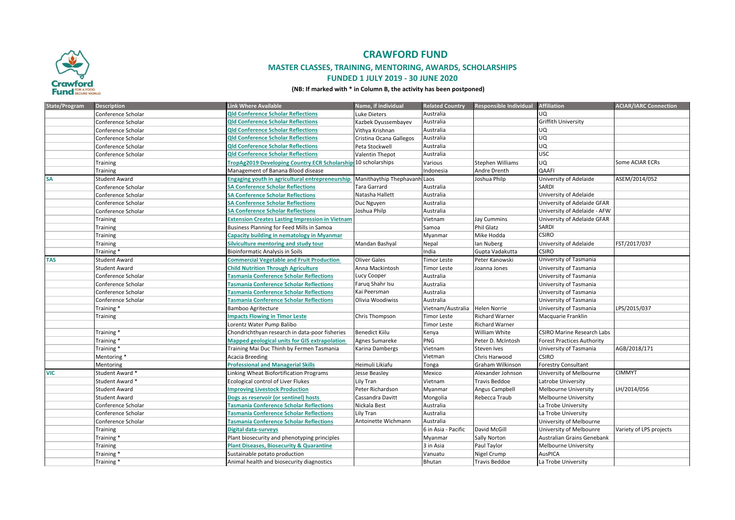

# **CRAWFORD FUND**

## **MASTER CLASSES, TRAINING, MENTORING, AWARDS, SCHOLARSHIPS**

#### **FUNDED 1 JULY 2019 - 30 JUNE 2020**

#### **(NB: If marked with \* in Column B, the activity has been postponed)**

| <b>State/Program</b> | <b>Description</b>   | <b>Link Where Available</b>                                   | Name, if individual          | <b>Related Country</b> | <b>Responsible Individual</b> | <b>Affiliation</b>                | <b>ACIAR/IARC Connection</b> |
|----------------------|----------------------|---------------------------------------------------------------|------------------------------|------------------------|-------------------------------|-----------------------------------|------------------------------|
|                      | Conference Scholar   | <b>Qld Conference Scholar Reflections</b>                     | Luke Dieters                 | Australia              |                               | UQ.                               |                              |
|                      | Conference Scholar   | <b>Qld Conference Scholar Reflections</b>                     | Kazbek Dyussembayev          | Australia              |                               | Griffith University               |                              |
|                      | Conference Scholar   | <b>Qld Conference Scholar Reflections</b>                     | Vithya Krishnan              | Australia              |                               | <b>UQ</b>                         |                              |
|                      | Conference Scholar   | <b>Qld Conference Scholar Reflections</b>                     | Cristina Ocana Gallegos      | Australia              |                               | UQ                                |                              |
|                      | Conference Scholar   | <b>Qld Conference Scholar Reflections</b>                     | Peta Stockwell               | Australia              |                               | UQ                                |                              |
|                      | Conference Scholar   | <b>Qld Conference Scholar Reflections</b>                     | <b>Valentin Thepot</b>       | Australia              |                               | <b>USC</b>                        |                              |
|                      | Training             | TropAg2019 Developing Country ECR Scholarship 10 scholarships |                              | Various                | Stephen Williams              | <b>UQ</b>                         | Some ACIAR ECRs              |
|                      | Training             | Management of Banana Blood disease                            |                              | Indonesia              | Andre Drenth                  | <b>QAAFI</b>                      |                              |
| SA                   | <b>Student Award</b> | <b>Engaging youth in agricultural entrepreneurship</b>        | Manithaythip Thephavanh Laos |                        | Joshua Philp                  | University of Adelaide            | ASEM/2014/052                |
|                      | Conference Scholar   | <b>SA Conference Scholar Reflections</b>                      | <b>Tara Garrard</b>          | Australia              |                               | <b>SARDI</b>                      |                              |
|                      | Conference Scholar   | <b>SA Conference Scholar Reflections</b>                      | Natasha Hallett              | Australia              |                               | University of Adelaide            |                              |
|                      | Conference Scholar   | <b>SA Conference Scholar Reflections</b>                      | Duc Nguyen                   | Australia              |                               | University of Adelaide GFAR       |                              |
|                      | Conference Scholar   | <b>SA Conference Scholar Reflections</b>                      | Joshua Philp                 | Australia              |                               | University of Adelaide - AFW      |                              |
|                      | Training             | <b>Extension Creates Lasting Impression in Vietnam</b>        |                              | Vietnam                | Jay Cummins                   | University of Adelaide GFAR       |                              |
|                      | Training             | Business Planning for Feed Mills in Samoa                     |                              | Samoa                  | Phil Glatz                    | <b>SARDI</b>                      |                              |
|                      | Training             | <b>Capacity building in nematology in Myanmar</b>             |                              | Myanmar                | Mike Hodda                    | <b>CSIRO</b>                      |                              |
|                      | Training             | Silviculture mentoring and study tour                         | Mandan Bashyal               | Nepal                  | lan Nuberg                    | University of Adelaide            | FST/2017/037                 |
|                      | Training*            | <b>Bioinformatic Analysis in Soils</b>                        |                              | India                  | Gupta Vadakutta               | <b>CSIRO</b>                      |                              |
| <b>TAS</b>           | <b>Student Award</b> | <b>Commercial Vegetable and Fruit Production</b>              | <b>Oliver Gales</b>          | <b>Timor Leste</b>     | Peter Kanowski                | University of Tasmania            |                              |
|                      | <b>Student Award</b> | <b>Child Nutrition Through Agriculture</b>                    | Anna Mackintosh              | <b>Timor Leste</b>     | Joanna Jones                  | University of Tasmania            |                              |
|                      | Conference Scholar   | <b>Tasmania Conference Scholar Reflections</b>                | Lucy Cooper                  | Australia              |                               | University of Tasmania            |                              |
|                      | Conference Scholar   | <b>Tasmania Conference Scholar Reflections</b>                | Farug Shahr Isu              | Australia              |                               | University of Tasmania            |                              |
|                      | Conference Scholar   | <b>Tasmania Conference Scholar Reflections</b>                | Kai Peersman                 | Australia              |                               | University of Tasmania            |                              |
|                      | Conference Scholar   | <b>Tasmania Conference Scholar Reflections</b>                | Olivia Woodiwiss             | Australia              |                               | University of Tasmania            |                              |
|                      | Training*            | <b>Bamboo Agritecture</b>                                     |                              | Vietnam/Australia      | <b>Helen Norrie</b>           | University of Tasmania            | LPS/2015/037                 |
|                      | Training             | <b>Impacts Flowing in Timor Leste</b>                         | Chris Thompson               | <b>Timor Leste</b>     | <b>Richard Warner</b>         | Macquarie Franklin                |                              |
|                      |                      | Lorentz Water Pump Balibo                                     |                              | <b>Timor Leste</b>     | <b>Richard Warner</b>         |                                   |                              |
|                      | Training*            | Chondrichthyan research in data-poor fisheries                | <b>Benedict Kiilu</b>        | Kenya                  | William White                 | <b>CSIRO Marine Research Labs</b> |                              |
|                      | Training*            | <b>Mapped geological units for GIS extrapolation</b>          | Agnes Sumareke               | <b>PNG</b>             | Peter D. McIntosh             | <b>Forest Practices Authority</b> |                              |
|                      | Training *           | Training Mai Duc Thinh by Fermen Tasmania                     | Karina Dambergs              | Vietnam                | Steven Ives                   | University of Tasmania            | AGB/2018/171                 |
|                      | Mentoring*           | <b>Acacia Breeding</b>                                        |                              | Vietman                | Chris Harwood                 | <b>CSIRO</b>                      |                              |
|                      | Mentoring            | <b>Professional and Managerial Skills</b>                     | Heimuli Likiafu              | Tonga                  | Graham Wilkinson              | <b>Forestry Consultant</b>        |                              |
| <b>VIC</b>           | Student Award *      | Linking Wheat Biofortification Programs                       | Jesse Beasley                | Mexico                 | Alexander Johnson             | University of Melbourne           | <b>CIMMYT</b>                |
|                      | Student Award *      | Ecological control of Liver Flukes                            | Lily Tran                    | Vietnam                | Travis Beddoe                 | Latrobe University                |                              |
|                      | <b>Student Award</b> | <b>Improving Livestock Production</b>                         | Peter Richardson             | Myanmar                | Angus Campbell                | Melbourne University              | LH/2014/056                  |
|                      | <b>Student Award</b> | Dogs as reservoir (or sentinel) hosts                         | Cassandra Davitt             | Mongolia               | Rebecca Traub                 | Melbourne University              |                              |
|                      | Conference Scholar   | <b>Tasmania Conference Scholar Reflections</b>                | Nickala Best                 | Australia              |                               | La Trobe University               |                              |
|                      | Conference Scholar   | <b>Tasmania Conference Scholar Reflections</b>                | Lily Tran                    | Australia              |                               | La Trobe University               |                              |
|                      | Conference Scholar   | <b>Tasmania Conference Scholar Reflections</b>                | Antoinette Wichmann          | Australia              |                               | University of Melbourne           |                              |
|                      | Training             | Digital data-surveys                                          |                              | 6 in Asia - Pacific    | David McGill                  | University of Melbounre           | Variety of LPS projects      |
|                      | Training*            | Plant biosecurity and phenotyping principles                  |                              | Myanmar                | Sally Norton                  | Australian Grains Genebank        |                              |
|                      | Training             | <b>Plant Diseases, Biosecurity &amp; Quarantine</b>           |                              | 3 in Asia              | Paul Taylor                   | Melbourne University              |                              |
|                      | Training *           | Sustainable potato production                                 |                              | Vanuatu                | Nigel Crump                   | AusPICA                           |                              |
|                      | Training *           | Animal health and biosecurity diagnostics                     |                              | <b>Bhutan</b>          | <b>Travis Beddoe</b>          | La Trobe University               |                              |